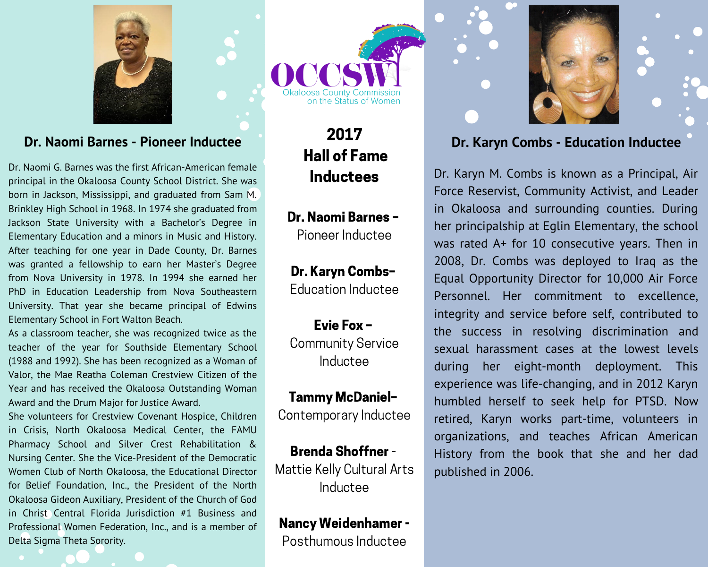

### Dr. Naomi Barnes - Pioneer Inductee

Dr. Naomi G. Barnes was the first African-American female principal in the Okaloosa County School District. She was born in Jackson, Mississippi, and graduated from Sam M. Brinkley High School in 1968. In 1974 she graduated from Jackson State University with a Bachelor's Degree in Elementary Education and a minors in Music and History. After teaching for one year in Dade County, Dr. Barnes was granted a fellowship to earn her Master's Degree from Nova University in 1978. In 1994 she earned her PhD in Education Leadership from Nova Southeastern University. That year she became principal of Edwins Elementary School in Fort Walton Beach.

As a classroom teacher, she was recognized twice as the teacher of the year for Southside Elementary School (1988 and 1992). She has been recognized as a Woman of Valor, the Mae Reatha Coleman Crestview Citizen of the Year and has received the Okaloosa Outstanding Woman Award and the Drum Major for Justice Award.

She volunteers for Crestview Covenant Hospice, Children in Crisis. North Okaloosa Medical Center, the FAMU Pharmacy School and Silver Crest Rehabilitation & Nursing Center. She the Vice-President of the Democratic Women Club of North Okaloosa, the Educational Director for Belief Foundation, Inc., the President of the North Okaloosa Gideon Auxiliary, President of the Church of God in Christ Central Florida Jurisdiction #1 Business and Professional Women Federation, Inc., and is a member of Delta Sigma Theta Sorority.



2017 **Hall of Fame Inductees** 

Dr. Naomi Barnes -Pioneer Inductee

Dr. Karyn Combs-Education Inductee

Evie Fox-**Community Service** Inductee

**Tammy McDaniel-**Contemporary Inductee

**Brenda Shoffner-**Mattie Kelly Cultural Arts Inductee

**Nancy Weidenhamer -**Posthumous Inductee





# Dr. Karyn Combs - Education Inductee

Dr. Karyn M. Combs is known as a Principal, Air Force Reservist, Community Activist, and Leader in Okaloosa and surrounding counties. During her principalship at Eglin Elementary, the school was rated A+ for 10 consecutive years. Then in 2008, Dr. Combs was deployed to Iraq as the Equal Opportunity Director for 10,000 Air Force Personnel. Her commitment to excellence, integrity and service before self, contributed to the success in resolving discrimination and sexual harassment cases at the lowest levels eight-month deployment. This during her experience was life-changing, and in 2012 Karyn humbled herself to seek help for PTSD. Now retired, Karyn works part-time, volunteers in organizations, and teaches African American History from the book that she and her dad published in 2006.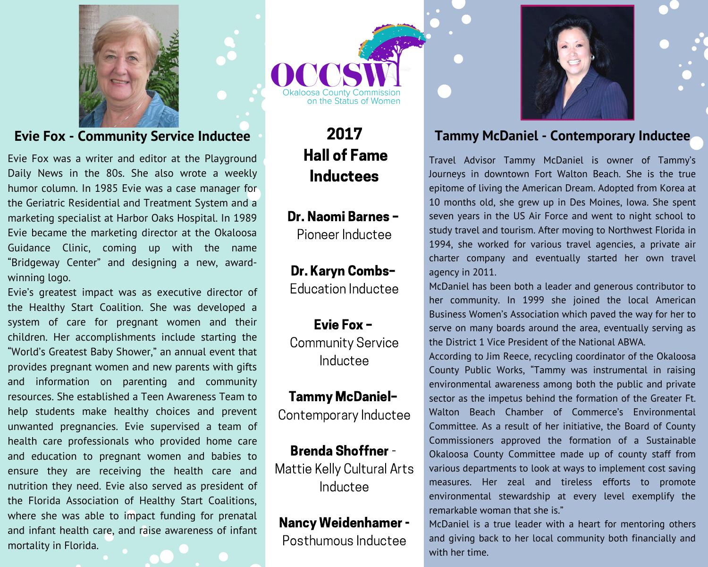

# **Evie Fox - Community Service Inductee**

Evie Fox was a writer and editor at the Playground Daily News in the 80s. She also wrote a weekly humor column. In 1985 Evie was a case manager for the Geriatric Residential and Treatment System and a marketing specialist at Harbor Oaks Hospital. In 1989 Evie became the marketing director at the Okaloosa Guidance Clinic, coming up with the name "Bridgeway Center" and designing a new, awardwinning logo.

Evie's greatest impact was as executive director of the Healthy Start Coalition. She was developed a system of care for pregnant women and their children. Her accomplishments include starting the "World's Greatest Baby Shower," an annual event that provides pregnant women and new parents with gifts information on parenting and community and resources. She established a Teen Awareness Team to help students make healthy choices and prevent unwanted pregnancies. Evie supervised a team of health care professionals who provided home care and education to pregnant women and babies to ensure they are receiving the health care and nutrition they need. Evie also served as president of the Florida Association of Healthy Start Coalitions, where she was able to impact funding for prenatal and infant health care, and raise awareness of infant mortality in Florida.

on the Status of Women

2017 **Hall of Fame Inductees** 

Dr. Naomi Barnes -Pioneer Inductee

Dr. Karyn Combs-**Education Inductee** 

Evie Fox-**Community Service** Inductee

**Tammy McDaniel-**Contemporary Inductee

**Brenda Shoffner -**Mattie Kelly Cultural Arts Inductee

**Nancy Weidenhamer -**Posthumous Inductee



# **Tammy McDaniel - Contemporary Inductee**

Travel Advisor Tammy McDaniel is owner of Tammy's Journeys in downtown Fort Walton Beach. She is the true epitome of living the American Dream. Adopted from Korea at 10 months old, she grew up in Des Moines, Iowa. She spent seven years in the US Air Force and went to night school to study travel and tourism. After moving to Northwest Florida in 1994, she worked for various travel agencies, a private air charter company and eventually started her own travel agency in 2011.

McDaniel has been both a leader and generous contributor to her community. In 1999 she joined the local American Business Women's Association which paved the way for her to serve on many boards around the area, eventually serving as the District 1 Vice President of the National ABWA.

According to Jim Reece, recycling coordinator of the Okaloosa County Public Works, "Tammy was instrumental in raising environmental awareness among both the public and private sector as the impetus behind the formation of the Greater Ft. Walton Beach Chamber of Commerce's Environmental Committee. As a result of her initiative, the Board of County Commissioners approved the formation of a Sustainable Okaloosa County Committee made up of county staff from various departments to look at ways to implement cost saving measures. Her zeal and tireless efforts to promote environmental stewardship at every level exemplify the remarkable woman that she is."

McDaniel is a true leader with a heart for mentoring others and giving back to her local community both financially and with her time.